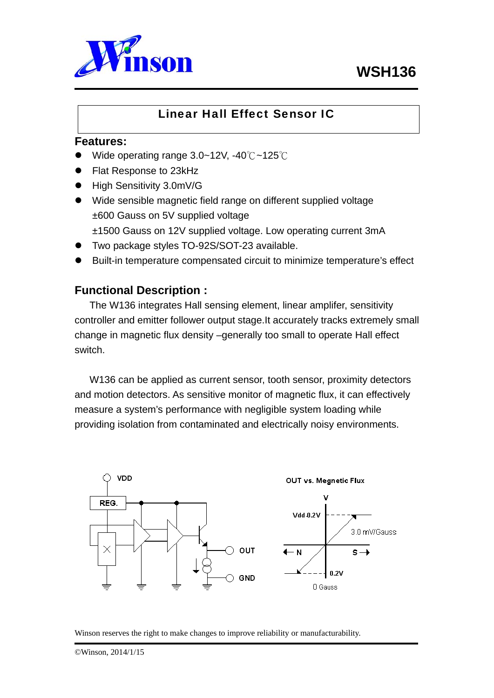



# Linear Hall Effect Sensor IC

## **Features:**

- Wide operating range 3.0~12V, -40℃~125℃
- Flat Response to 23kHz
- High Sensitivity 3.0mV/G
- Wide sensible magnetic field range on different supplied voltage ±600 Gauss on 5V supplied voltage ±1500 Gauss on 12V supplied voltage. Low operating current 3mA
- Two package styles TO-92S/SOT-23 available.
- Built-in temperature compensated circuit to minimize temperature's effect

## **Functional Description :**

The W136 integrates Hall sensing element, linear amplifer, sensitivity controller and emitter follower output stage.It accurately tracks extremely small change in magnetic flux density –generally too small to operate Hall effect switch.

W136 can be applied as current sensor, tooth sensor, proximity detectors and motion detectors. As sensitive monitor of magnetic flux, it can effectively measure a system's performance with negligible system loading while providing isolation from contaminated and electrically noisy environments.

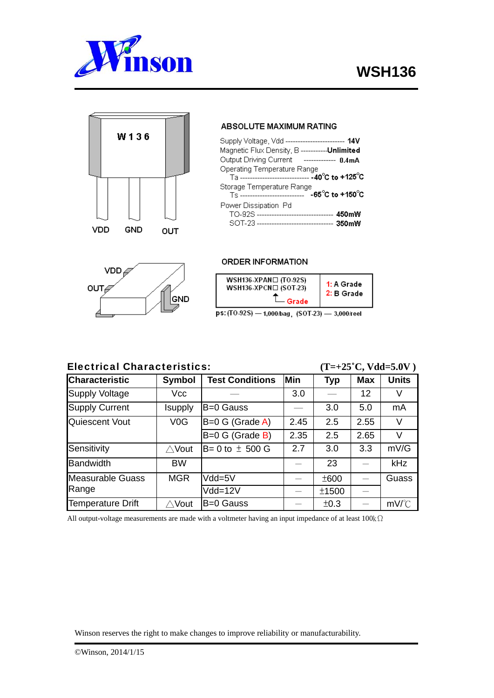



### ABSOLUTE MAXIMUM RATING

| Supply Voltage, Vdd ------------------------ 14V                                                                     |  |
|----------------------------------------------------------------------------------------------------------------------|--|
| Magnetic Flux Density, B ------------ <b>Unlimited</b>                                                               |  |
| Output Driving Current                                                                                               |  |
| Operating Temperature Range<br>Ta ------------------------------ - 40°C to +125°C                                    |  |
| Storage Temperature Range                                                                                            |  |
| Power Dissipation Pd<br>TO-92S ------------------------------- 450mW<br>SOT-23 ------------------------------- 350mW |  |



| WSH136-XPAN $\Box$ (TO-92S) |        |
|-----------------------------|--------|
| WSH136-XPCN $\Box$ (SOT-23) | 1: A C |

ORDER INFORMATION

| $1130 - 21111 - 110 - 2231$<br>WSH136-XPCN $\Box$ (SOT-23)<br>$\vdash$ Grade | 1: A Grade<br>2: B Grade |
|------------------------------------------------------------------------------|--------------------------|
| ps: $(T0.92S) - 1,000$ hag $(SOT-23) - 3,000$ reel                           |                          |

### Electrical Characteristics: **(T=+25˚C, Vdd=5.0V )**

| <b>Characteristic</b>    | Symbol           | <b>Test Conditions</b>                | Min  | <b>Typ</b> | <b>Max</b> | <b>Units</b>  |
|--------------------------|------------------|---------------------------------------|------|------------|------------|---------------|
| <b>Supply Voltage</b>    | Vcc              |                                       | 3.0  |            | 12         | V             |
| <b>Supply Current</b>    | Isupply          | B=0 Gauss                             |      | 3.0        | 5.0        | mA            |
| Quiescent Vout           | V <sub>0</sub> G | $B=0$ G (Grade A)                     | 2.45 | 2.5        | 2.55       | V             |
|                          |                  | $B=0$ G (Grade $B$ )                  | 2.35 | 2.5        | 2.65       | V             |
| Sensitivity              | $\wedge$ Vout    | $ B= 0 \text{ to } \pm 500 \text{ G}$ | 2.7  | 3.0        | 3.3        | mV/G          |
| <b>Bandwidth</b>         | <b>BW</b>        |                                       |      | 23         |            | kHz           |
| <b>Measurable Guass</b>  | <b>MGR</b>       | Vdd=5V                                |      | ±600       |            | Guass         |
| Range                    |                  | Vdd=12V                               |      | ±1500      |            |               |
| <b>Temperature Drift</b> | Vout             | B=0 Gauss                             |      | ±0.3       |            | $mV^{\circ}C$ |

All output-voltage measurements are made with a voltmeter having an input impedance of at least 100kΩ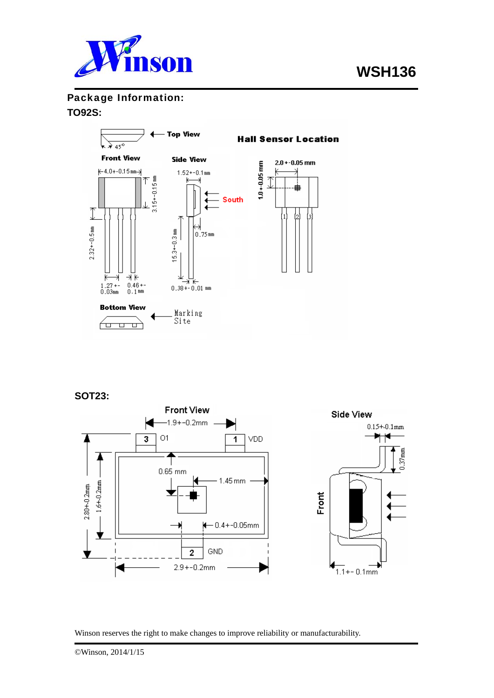

Package Information:

### **TO92S:**



### **SOT23:**

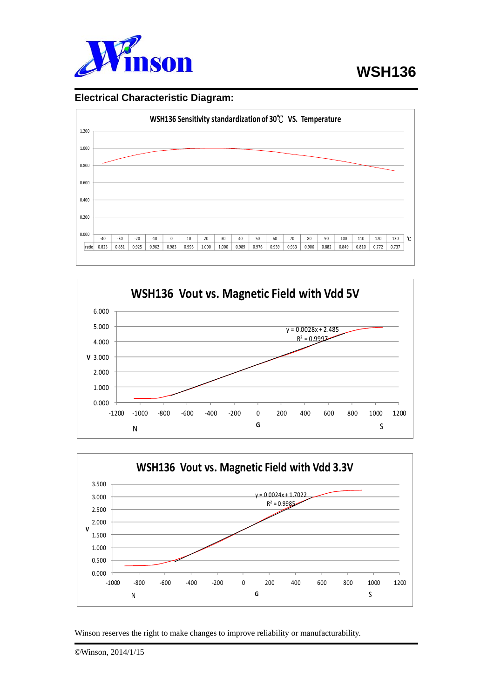

# **Electrical Characteristic Diagram:**